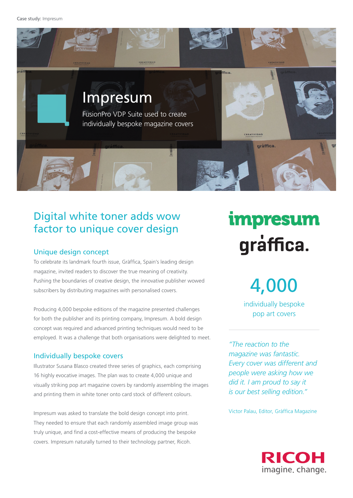Case study: Impresum



## Digital white toner adds wow factor to unique cover design

### Unique design concept

To celebrate its landmark fourth issue, Gràffica, Spain's leading design magazine, invited readers to discover the true meaning of creativity. Pushing the boundaries of creative design, the innovative publisher wowed subscribers by distributing magazines with personalised covers.

Producing 4,000 bespoke editions of the magazine presented challenges for both the publisher and its printing company, Impresum. A bold design concept was required and advanced printing techniques would need to be employed. It was a challenge that both organisations were delighted to meet.

### Individually bespoke covers

Illustrator Susana Blasco created three series of graphics, each comprising 16 highly evocative images. The plan was to create 4,000 unique and visually striking pop art magazine covers by randomly assembling the images and printing them in white toner onto card stock of different colours.

Impresum was asked to translate the bold design concept into print. They needed to ensure that each randomly assembled image group was truly unique, and find a cost-effective means of producing the bespoke covers. Impresum naturally turned to their technology partner, Ricoh.

# *impresum* graffica.

4,000

individually bespoke pop art covers

*"The reaction to the magazine was fantastic. Every cover was different and people were asking how we did it. I am proud to say it is our best selling edition."*

Victor Palau, Editor, Gràffica Magazine